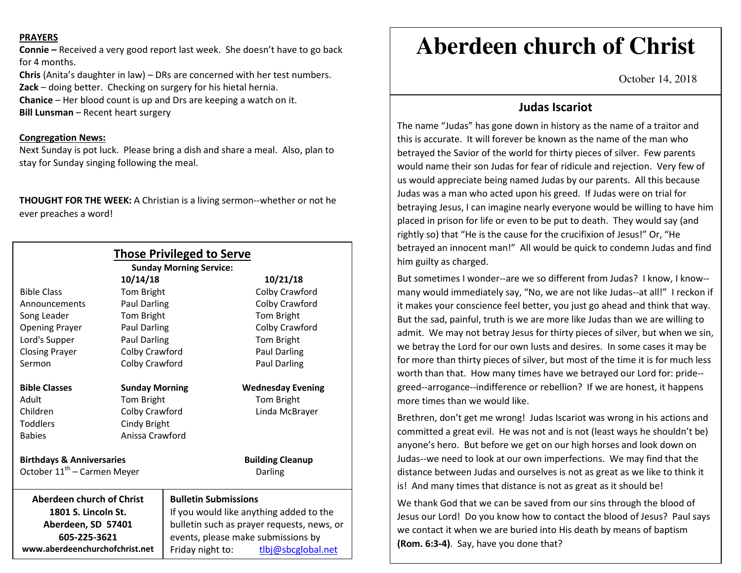#### **PRAYERS**

**Connie –** Received a very good report last week. She doesn't have to go back for 4 months.

**Chris** (Anita's daughter in law) – DRs are concerned with her test numbers. **Zack** – doing better. Checking on surgery for his hietal hernia. **Chanice** – Her blood count is up and Drs are keeping a watch on it. **Bill Lunsman** – Recent heart surgery

### **Congregation News:**

Next Sunday is pot luck. Please bring a dish and share a meal. Also, plan to stay for Sunday singing following the meal.

**THOUGHT FOR THE WEEK:** A Christian is a living sermon--whether or not he ever preaches a word!

|                                         |                       | <b>Those Privileged to Serve</b><br><b>Sunday Morning Service:</b> |                          |
|-----------------------------------------|-----------------------|--------------------------------------------------------------------|--------------------------|
|                                         | 10/14/18              |                                                                    | 10/21/18                 |
| <b>Bible Class</b>                      | Tom Bright            |                                                                    | Colby Crawford           |
| Announcements                           | Paul Darling          |                                                                    | Colby Crawford           |
| Song Leader                             | Tom Bright            |                                                                    | Tom Bright               |
| <b>Opening Prayer</b>                   | Paul Darling          |                                                                    | Colby Crawford           |
| Lord's Supper                           | <b>Paul Darling</b>   |                                                                    | Tom Bright               |
| <b>Closing Prayer</b>                   | Colby Crawford        |                                                                    | <b>Paul Darling</b>      |
| Sermon                                  | Colby Crawford        |                                                                    | Paul Darling             |
| <b>Bible Classes</b>                    | <b>Sunday Morning</b> |                                                                    | <b>Wednesday Evening</b> |
| Adult                                   | Tom Bright            |                                                                    | Tom Bright               |
| Children                                | Colby Crawford        |                                                                    | Linda McBrayer           |
| <b>Toddlers</b>                         | Cindy Bright          |                                                                    |                          |
| <b>Babies</b>                           | Anissa Crawford       |                                                                    |                          |
| <b>Birthdays &amp; Anniversaries</b>    |                       |                                                                    | <b>Building Cleanup</b>  |
| October 11 <sup>th</sup> - Carmen Meyer |                       |                                                                    | Darling                  |
| <b>Aberdeen church of Christ</b>        |                       | <b>Bulletin Submissions</b>                                        |                          |
| 1801 S. Lincoln St.                     |                       | If you would like anything added to the                            |                          |
| Aberdeen, SD 57401                      |                       | bulletin such as prayer requests, news, or                         |                          |
| 605-225-3621                            |                       | events, please make submissions by                                 |                          |
| www.aberdeenchurchofchrist.net          |                       | Friday night to:                                                   | tlbj@sbcglobal.net       |

# **Aberdeen church of Christ**

October 14, 2018

## **Judas Iscariot**

The name "Judas" has gone down in history as the name of a traitor and this is accurate. It will forever be known as the name of the man who betrayed the Savior of the world for thirty pieces of silver. Few parents would name their son Judas for fear of ridicule and rejection. Very few of us would appreciate being named Judas by our parents. All this because Judas was a man who acted upon his greed. If Judas were on trial for betraying Jesus, I can imagine nearly everyone would be willing to have him placed in prison for life or even to be put to death. They would say (and rightly so) that "He is the cause for the crucifixion of Jesus!" Or, "He betrayed an innocent man!" All would be quick to condemn Judas and find him guilty as charged.

But sometimes I wonder--are we so different from Judas? I know, I know-many would immediately say, "No, we are not like Judas--at all!" I reckon if it makes your conscience feel better, you just go ahead and think that way. But the sad, painful, truth is we are more like Judas than we are willing to admit. We may not betray Jesus for thirty pieces of silver, but when we sin, we betray the Lord for our own lusts and desires. In some cases it may be for more than thirty pieces of silver, but most of the time it is for much less worth than that. How many times have we betrayed our Lord for: pride-greed--arrogance--indifference or rebellion? If we are honest, it happens more times than we would like.

Brethren, don't get me wrong! Judas Iscariot was wrong in his actions and committed a great evil. He was not and is not (least ways he shouldn't be) anyone's hero. But before we get on our high horses and look down on Judas--we need to look at our own imperfections. We may find that the distance between Judas and ourselves is not as great as we like to think it is! And many times that distance is not as great as it should be!

We thank God that we can be saved from our sins through the blood of Jesus our Lord! Do you know how to contact the blood of Jesus? Paul says we contact it when we are buried into His death by means of baptism **(Rom. 6:3-4)**. Say, have you done that?